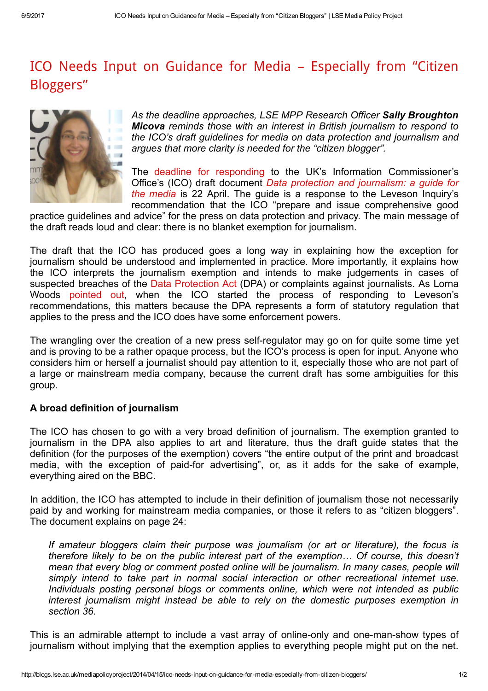## ICO Needs Input on Guidance for Media – [Especially](http://blogs.lse.ac.uk/mediapolicyproject/2014/04/15/ico-needs-input-on-guidance-for-media-especially-from-citizen-bloggers/) from "Citizen Bloggers"



As the deadline approaches, LSE MPP Research Officer Sally Broughton Micova reminds those with an interest in British journalism to respond to the ICO's draft guidelines for media on data protection and journalism and argues that more clarity is needed for the "citizen blogger".

The deadline for [responding](http://ico.org.uk/about_us/consultations/our_consultations) to the UK's Information Commissioner's Office's (ICO) draft document Data protection and [journalism:](http://ico.org.uk/about_us/consultations/~/media/documents/library/Data_Protection/Research_and_reports/data-protection-and-journalism-a-guide-for-the-media-draft.pdf) a guide for the media is 22 April. The guide is a response to the Leveson Inquiry's recommendation that the ICO "prepare and issue comprehensive good

practice guidelines and advice" for the press on data protection and privacy. The main message of the draft reads loud and clear: there is no blanket exemption for journalism.

The draft that the ICO has produced goes a long way in explaining how the exception for journalism should be understood and implemented in practice. More importantly, it explains how the ICO interprets the journalism exemption and intends to make judgements in cases of suspected breaches of the Data [Protection](http://www.legislation.gov.uk/ukpga/1998/29/contents) Act (DPA) or complaints against journalists. As Lorna Woods [pointed](http://blogs.lse.ac.uk/mediapolicyproject/2013/04/02/leveson-the-ico-and-data-protection-the-press-regulation-no-one-is-talking-about/) out, when the ICO started the process of responding to Leveson's recommendations, this matters because the DPA represents a form of statutory regulation that applies to the press and the ICO does have some enforcement powers.

The wrangling over the creation of a new press self-regulator may go on for quite some time yet and is proving to be a rather opaque process, but the ICO's process is open for input. Anyone who considers him or herself a journalist should pay attention to it, especially those who are not part of a large or mainstream media company, because the current draft has some ambiguities for this group.

## A broad definition of journalism

The ICO has chosen to go with a very broad definition of journalism. The exemption granted to journalism in the DPA also applies to art and literature, thus the draft guide states that the definition (for the purposes of the exemption) covers "the entire output of the print and broadcast media, with the exception of paid-for advertising", or, as it adds for the sake of example, everything aired on the BBC.

In addition, the ICO has attempted to include in their definition of journalism those not necessarily paid by and working for mainstream media companies, or those it refers to as "citizen bloggers". The document explains on page 24:

If amateur bloggers claim their purpose was journalism (or art or literature), the focus is therefore likely to be on the public interest part of the exemption… Of course, this doesn't mean that every blog or comment posted online will be journalism. In many cases, people will simply intend to take part in normal social interaction or other recreational internet use. Individuals posting personal blogs or comments online, which were not intended as public interest journalism might instead be able to rely on the domestic purposes exemption in section 36.

This is an admirable attempt to include a vast array of online-only and one-man-show types of journalism without implying that the exemption applies to everything people might put on the net.